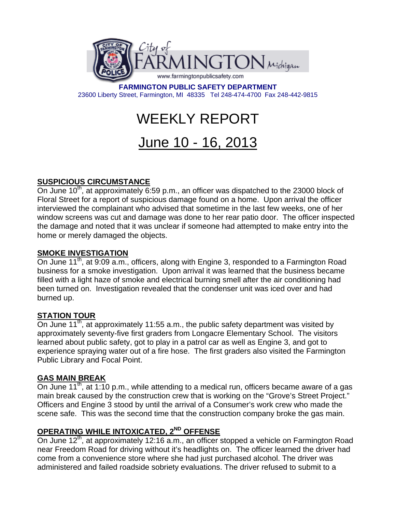

**FARMINGTON PUBLIC SAFETY DEPARTMENT**  23600 Liberty Street, Farmington, MI 48335 Tel 248-474-4700 Fax 248-442-9815

# WEEKLY REPORT

## June 10 - 16, 2013

#### **SUSPICIOUS CIRCUMSTANCE**

On June 10<sup>th</sup>, at approximately  $\overline{6:}59$  p.m., an officer was dispatched to the 23000 block of Floral Street for a report of suspicious damage found on a home. Upon arrival the officer interviewed the complainant who advised that sometime in the last few weeks, one of her window screens was cut and damage was done to her rear patio door. The officer inspected the damage and noted that it was unclear if someone had attempted to make entry into the home or merely damaged the objects.

#### **SMOKE INVESTIGATION**

On June  $11^{th}$ , at 9:09 a.m., officers, along with Engine 3, responded to a Farmington Road business for a smoke investigation. Upon arrival it was learned that the business became filled with a light haze of smoke and electrical burning smell after the air conditioning had been turned on. Investigation revealed that the condenser unit was iced over and had burned up.

#### **STATION TOUR**

On June 11<sup>th</sup>, at approximately 11:55 a.m., the public safety department was visited by approximately seventy-five first graders from Longacre Elementary School. The visitors learned about public safety, got to play in a patrol car as well as Engine 3, and got to experience spraying water out of a fire hose. The first graders also visited the Farmington Public Library and Focal Point.

#### **GAS MAIN BREAK**

On June 11<sup>th</sup>, at 1:10 p.m., while attending to a medical run, officers became aware of a gas main break caused by the construction crew that is working on the "Grove's Street Project." Officers and Engine 3 stood by until the arrival of a Consumer's work crew who made the scene safe. This was the second time that the construction company broke the gas main.

### **OPERATING WHILE INTOXICATED, 2<sup>ND</sup> OFFENSE**

On June 12<sup>th</sup>, at approximately 12:16 a.m., an officer stopped a vehicle on Farmington Road near Freedom Road for driving without it's headlights on. The officer learned the driver had come from a convenience store where she had just purchased alcohol. The driver was administered and failed roadside sobriety evaluations. The driver refused to submit to a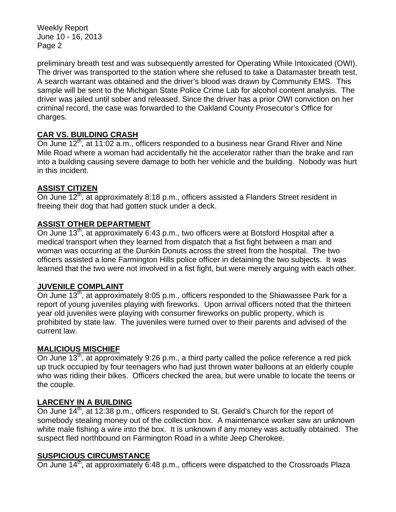Weekly Report June 10 - 16, 2013 Page 2

preliminary breath test and was subsequently arrested for Operating While Intoxicated (OWI). The driver was transported to the station where she refused to take a Datamaster breath test. A search warrant was obtained and the driver's blood was drawn by Community EMS. This sample will be sent to the Michigan State Police Crime Lab for alcohol content analysis. The driver was jailed until sober and released. Since the driver has a prior OWI conviction on her criminal record, the case was forwarded to the Oakland County Prosecutor's Office for charges.

#### **CAR VS. BUILDING CRASH**

On June  $12<sup>th</sup>$ , at 11:02 a.m., officers responded to a business near Grand River and Nine Mile Road where a woman had accidentally hit the accelerator rather than the brake and ran into a building causing severe damage to both her vehicle and the building. Nobody was hurt in this incident.

#### **ASSIST CITIZEN**

On June 12<sup>th</sup>, at approximately 8:18 p.m., officers assisted a Flanders Street resident in freeing their dog that had gotten stuck under a deck.

#### **ASSIST OTHER DEPARTMENT**

On June 13<sup>th</sup>, at approximately 6:43 p.m., two officers were at Botsford Hospital after a medical transport when they learned from dispatch that a fist fight between a man and woman was occurring at the Dunkin Donuts across the street from the hospital. The two officers assisted a lone Farmington Hills police officer in detaining the two subjects. It was learned that the two were not involved in a fist fight, but were merely arguing with each other.

#### **JUVENILE COMPLAINT**

On June 13<sup>th</sup>, at approximately 8:05 p.m., officers responded to the Shiawassee Park for a report of young juveniles playing with fireworks. Upon arrival officers noted that the thirteen year old juveniles were playing with consumer fireworks on public property, which is prohibited by state law. The juveniles were turned over to their parents and advised of the current law.

#### **MALICIOUS MISCHIEF**

On June  $13<sup>th</sup>$ , at approximately 9:26 p.m., a third party called the police reference a red pick up truck occupied by four teenagers who had just thrown water balloons at an elderly couple who was riding their bikes. Officers checked the area, but were unable to locate the teens or the couple.

#### **LARCENY IN A BUILDING**

On June 14<sup>th</sup>, at 12:38 p.m., officers responded to St. Gerald's Church for the report of somebody stealing money out of the collection box. A maintenance worker saw an unknown white male fishing a wire into the box. It is unknown if any money was actually obtained. The suspect fled northbound on Farmington Road in a white Jeep Cherokee.

#### **SUSPICIOUS CIRCUMSTANCE**

On June  $14<sup>th</sup>$ , at approximately 6:48 p.m., officers were dispatched to the Crossroads Plaza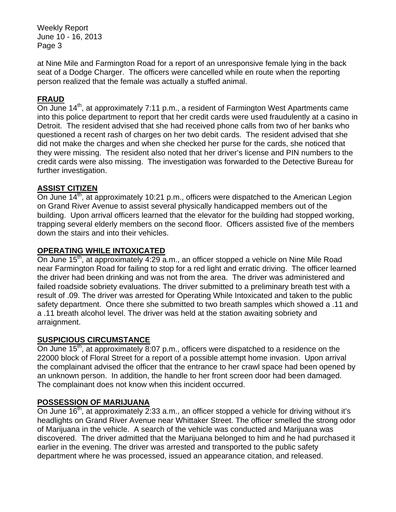Weekly Report June 10 - 16, 2013 Page 3

at Nine Mile and Farmington Road for a report of an unresponsive female lying in the back seat of a Dodge Charger. The officers were cancelled while en route when the reporting person realized that the female was actually a stuffed animal.

#### **FRAUD**

On June 14<sup>th</sup>, at approximately 7:11 p.m., a resident of Farmington West Apartments came into this police department to report that her credit cards were used fraudulently at a casino in Detroit. The resident advised that she had received phone calls from two of her banks who questioned a recent rash of charges on her two debit cards. The resident advised that she did not make the charges and when she checked her purse for the cards, she noticed that they were missing. The resident also noted that her driver's license and PIN numbers to the credit cards were also missing. The investigation was forwarded to the Detective Bureau for further investigation.

#### **ASSIST CITIZEN**

On June 14<sup>th</sup>, at approximately 10:21 p.m., officers were dispatched to the American Legion on Grand River Avenue to assist several physically handicapped members out of the building. Upon arrival officers learned that the elevator for the building had stopped working, trapping several elderly members on the second floor. Officers assisted five of the members down the stairs and into their vehicles.

#### **OPERATING WHILE INTOXICATED**

On June 15<sup>th</sup>, at approximately 4:29 a.m., an officer stopped a vehicle on Nine Mile Road near Farmington Road for failing to stop for a red light and erratic driving. The officer learned the driver had been drinking and was not from the area. The driver was administered and failed roadside sobriety evaluations. The driver submitted to a preliminary breath test with a result of .09. The driver was arrested for Operating While Intoxicated and taken to the public safety department. Once there she submitted to two breath samples which showed a .11 and a .11 breath alcohol level. The driver was held at the station awaiting sobriety and arraignment.

#### **SUSPICIOUS CIRCUMSTANCE**

On June  $15<sup>th</sup>$ , at approximately 8:07 p.m., officers were dispatched to a residence on the 22000 block of Floral Street for a report of a possible attempt home invasion. Upon arrival the complainant advised the officer that the entrance to her crawl space had been opened by an unknown person. In addition, the handle to her front screen door had been damaged. The complainant does not know when this incident occurred.

#### **POSSESSION OF MARIJUANA**

On June  $16<sup>th</sup>$ , at approximately 2:33 a.m., an officer stopped a vehicle for driving without it's headlights on Grand River Avenue near Whittaker Street. The officer smelled the strong odor of Marijuana in the vehicle. A search of the vehicle was conducted and Marijuana was discovered. The driver admitted that the Marijuana belonged to him and he had purchased it earlier in the evening. The driver was arrested and transported to the public safety department where he was processed, issued an appearance citation, and released.